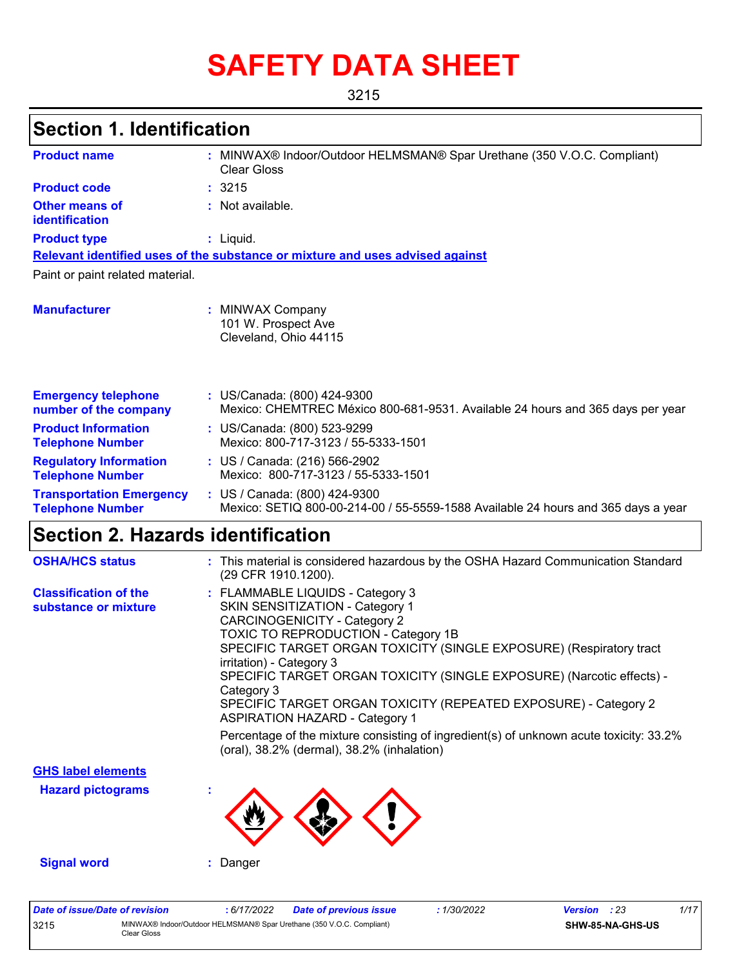# **SAFETY DATA SHEET**

3215

# **Section 1. Identification**

| <b>Product name</b>                                        | : MINWAX® Indoor/Outdoor HELMSMAN® Spar Urethane (350 V.O.C. Compliant)<br><b>Clear Gloss</b>                      |
|------------------------------------------------------------|--------------------------------------------------------------------------------------------------------------------|
| <b>Product code</b>                                        | :3215                                                                                                              |
| Other means of<br>identification                           | : Not available.                                                                                                   |
| <b>Product type</b>                                        | $:$ Liquid.                                                                                                        |
|                                                            | Relevant identified uses of the substance or mixture and uses advised against                                      |
| Paint or paint related material.                           |                                                                                                                    |
| <b>Manufacturer</b>                                        | <b>MINWAX Company</b><br>101 W. Prospect Ave<br>Cleveland, Ohio 44115                                              |
| <b>Emergency telephone</b><br>number of the company        | : US/Canada: (800) 424-9300<br>Mexico: CHEMTREC México 800-681-9531. Available 24 hours and 365 days per year      |
| <b>Product Information</b><br><b>Telephone Number</b>      | : US/Canada: (800) 523-9299<br>Mexico: 800-717-3123 / 55-5333-1501                                                 |
| <b>Regulatory Information</b><br><b>Telephone Number</b>   | : US / Canada: (216) 566-2902<br>Mexico: 800-717-3123 / 55-5333-1501                                               |
| <b>Transportation Emergency</b><br><b>Telephone Number</b> | : US / Canada: (800) 424-9300<br>Mexico: SETIQ 800-00-214-00 / 55-5559-1588 Available 24 hours and 365 days a year |

# **Section 2. Hazards identification**

| <b>OSHA/HCS status</b>                               | : This material is considered hazardous by the OSHA Hazard Communication Standard<br>(29 CFR 1910.1200).                                                                                                                                                                                                                                                                                                                                                                                                                                                                                        |
|------------------------------------------------------|-------------------------------------------------------------------------------------------------------------------------------------------------------------------------------------------------------------------------------------------------------------------------------------------------------------------------------------------------------------------------------------------------------------------------------------------------------------------------------------------------------------------------------------------------------------------------------------------------|
| <b>Classification of the</b><br>substance or mixture | : FLAMMABLE LIQUIDS - Category 3<br>SKIN SENSITIZATION - Category 1<br><b>CARCINOGENICITY - Category 2</b><br>TOXIC TO REPRODUCTION - Category 1B<br>SPECIFIC TARGET ORGAN TOXICITY (SINGLE EXPOSURE) (Respiratory tract<br>irritation) - Category 3<br>SPECIFIC TARGET ORGAN TOXICITY (SINGLE EXPOSURE) (Narcotic effects) -<br>Category 3<br>SPECIFIC TARGET ORGAN TOXICITY (REPEATED EXPOSURE) - Category 2<br><b>ASPIRATION HAZARD - Category 1</b><br>Percentage of the mixture consisting of ingredient(s) of unknown acute toxicity: 33.2%<br>(oral), 38.2% (dermal), 38.2% (inhalation) |
| <b>GHS label elements</b>                            |                                                                                                                                                                                                                                                                                                                                                                                                                                                                                                                                                                                                 |
| <b>Hazard pictograms</b>                             |                                                                                                                                                                                                                                                                                                                                                                                                                                                                                                                                                                                                 |
|                                                      |                                                                                                                                                                                                                                                                                                                                                                                                                                                                                                                                                                                                 |
| <b>Signal word</b>                                   | Danger                                                                                                                                                                                                                                                                                                                                                                                                                                                                                                                                                                                          |

| Date of issue/Date of revision |                                                                                      | : 6/17/2022 | Date of previous issue | 1/30/2022 | Version | : 23             | 1/17 |
|--------------------------------|--------------------------------------------------------------------------------------|-------------|------------------------|-----------|---------|------------------|------|
| 3215                           | MINWAX® Indoor/Outdoor HELMSMAN® Spar Urethane (350 V.O.C. Compliant)<br>ිlear Gloss |             |                        |           |         | SHW-85-NA-GHS-US |      |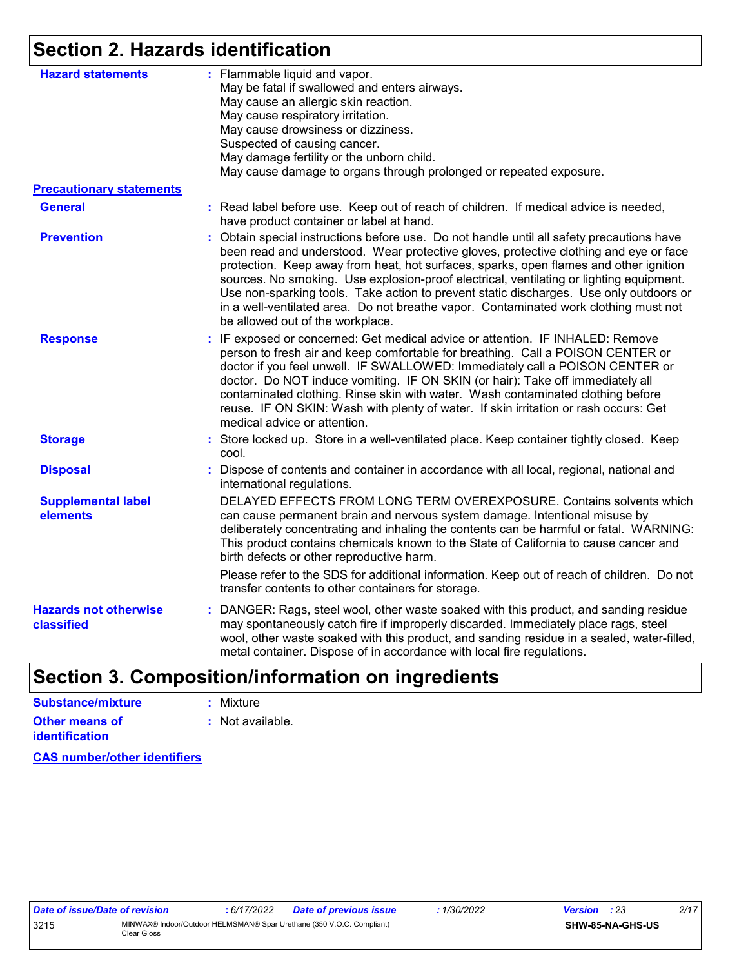# **Section 2. Hazards identification**

| <b>Hazard statements</b>                   | : Flammable liquid and vapor.<br>May be fatal if swallowed and enters airways.<br>May cause an allergic skin reaction.<br>May cause respiratory irritation.<br>May cause drowsiness or dizziness.<br>Suspected of causing cancer.<br>May damage fertility or the unborn child.<br>May cause damage to organs through prolonged or repeated exposure.                                                                                                                                                                                                                                         |
|--------------------------------------------|----------------------------------------------------------------------------------------------------------------------------------------------------------------------------------------------------------------------------------------------------------------------------------------------------------------------------------------------------------------------------------------------------------------------------------------------------------------------------------------------------------------------------------------------------------------------------------------------|
| <b>Precautionary statements</b>            |                                                                                                                                                                                                                                                                                                                                                                                                                                                                                                                                                                                              |
| <b>General</b>                             | : Read label before use. Keep out of reach of children. If medical advice is needed,<br>have product container or label at hand.                                                                                                                                                                                                                                                                                                                                                                                                                                                             |
| <b>Prevention</b>                          | : Obtain special instructions before use. Do not handle until all safety precautions have<br>been read and understood. Wear protective gloves, protective clothing and eye or face<br>protection. Keep away from heat, hot surfaces, sparks, open flames and other ignition<br>sources. No smoking. Use explosion-proof electrical, ventilating or lighting equipment.<br>Use non-sparking tools. Take action to prevent static discharges. Use only outdoors or<br>in a well-ventilated area. Do not breathe vapor. Contaminated work clothing must not<br>be allowed out of the workplace. |
| <b>Response</b>                            | : IF exposed or concerned: Get medical advice or attention. IF INHALED: Remove<br>person to fresh air and keep comfortable for breathing. Call a POISON CENTER or<br>doctor if you feel unwell. IF SWALLOWED: Immediately call a POISON CENTER or<br>doctor. Do NOT induce vomiting. IF ON SKIN (or hair): Take off immediately all<br>contaminated clothing. Rinse skin with water. Wash contaminated clothing before<br>reuse. IF ON SKIN: Wash with plenty of water. If skin irritation or rash occurs: Get<br>medical advice or attention.                                               |
| <b>Storage</b>                             | : Store locked up. Store in a well-ventilated place. Keep container tightly closed. Keep<br>cool.                                                                                                                                                                                                                                                                                                                                                                                                                                                                                            |
| <b>Disposal</b>                            | : Dispose of contents and container in accordance with all local, regional, national and<br>international regulations.                                                                                                                                                                                                                                                                                                                                                                                                                                                                       |
| <b>Supplemental label</b><br>elements      | DELAYED EFFECTS FROM LONG TERM OVEREXPOSURE. Contains solvents which<br>can cause permanent brain and nervous system damage. Intentional misuse by<br>deliberately concentrating and inhaling the contents can be harmful or fatal. WARNING:<br>This product contains chemicals known to the State of California to cause cancer and<br>birth defects or other reproductive harm.                                                                                                                                                                                                            |
|                                            | Please refer to the SDS for additional information. Keep out of reach of children. Do not<br>transfer contents to other containers for storage.                                                                                                                                                                                                                                                                                                                                                                                                                                              |
| <b>Hazards not otherwise</b><br>classified | : DANGER: Rags, steel wool, other waste soaked with this product, and sanding residue<br>may spontaneously catch fire if improperly discarded. Immediately place rags, steel<br>wool, other waste soaked with this product, and sanding residue in a sealed, water-filled,<br>metal container. Dispose of in accordance with local fire regulations.                                                                                                                                                                                                                                         |
|                                            |                                                                                                                                                                                                                                                                                                                                                                                                                                                                                                                                                                                              |

# **Section 3. Composition/information on ingredients**

| <b>Substance/mixture</b> | : Mixture        |
|--------------------------|------------------|
| <b>Other means of</b>    | : Not available. |
| <b>identification</b>    |                  |

**CAS number/other identifiers**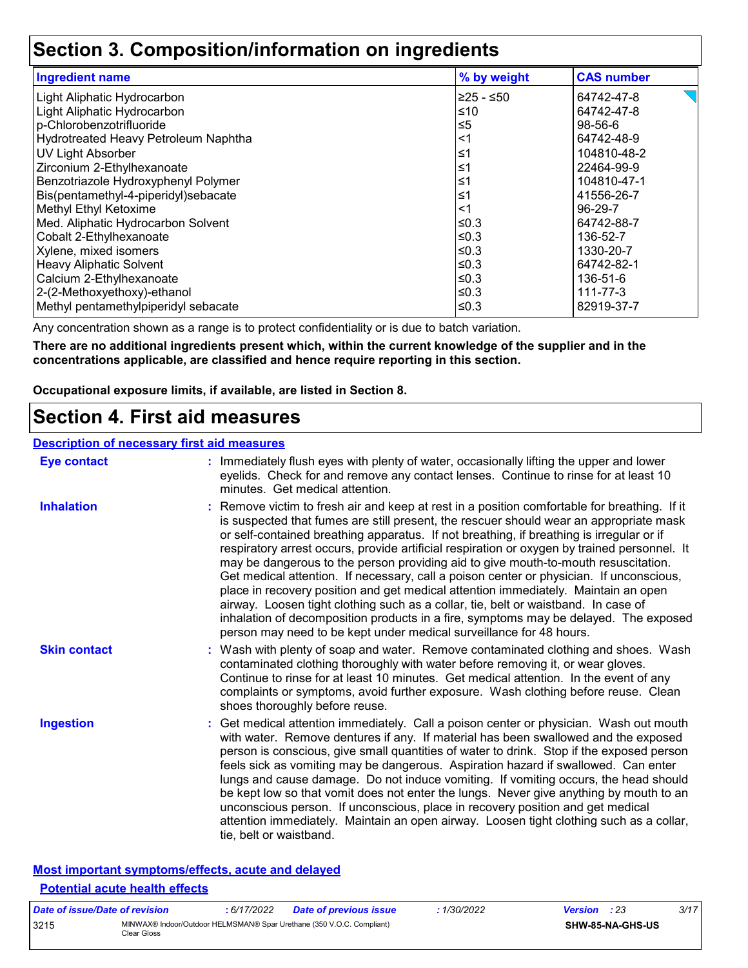### **Section 3. Composition/information on ingredients**

| <b>Ingredient name</b>               | % by weight | <b>CAS number</b> |
|--------------------------------------|-------------|-------------------|
| Light Aliphatic Hydrocarbon          | $≥25 - ≤50$ | 64742-47-8        |
| Light Aliphatic Hydrocarbon          | ≤10         | 64742-47-8        |
| p-Chlorobenzotrifluoride             | $\leq 5$    | 98-56-6           |
| Hydrotreated Heavy Petroleum Naphtha | <1          | 64742-48-9        |
| UV Light Absorber                    | ≤1          | 104810-48-2       |
| Zirconium 2-Ethylhexanoate           | ≤1          | 22464-99-9        |
| Benzotriazole Hydroxyphenyl Polymer  | ≤1          | 104810-47-1       |
| Bis(pentamethyl-4-piperidyl)sebacate | ≤1          | 41556-26-7        |
| Methyl Ethyl Ketoxime                | <1          | 96-29-7           |
| Med. Aliphatic Hydrocarbon Solvent   | ≤0.3        | 64742-88-7        |
| Cobalt 2-Ethylhexanoate              | ≤0.3        | 136-52-7          |
| Xylene, mixed isomers                | ≤0.3        | 1330-20-7         |
| <b>Heavy Aliphatic Solvent</b>       | ≤0.3        | 64742-82-1        |
| Calcium 2-Ethylhexanoate             | ≤0.3        | 136-51-6          |
| 2-(2-Methoxyethoxy)-ethanol          | ≤0.3        | 111-77-3          |
| Methyl pentamethylpiperidyl sebacate | ≤ $0.3$     | 82919-37-7        |

Any concentration shown as a range is to protect confidentiality or is due to batch variation.

**There are no additional ingredients present which, within the current knowledge of the supplier and in the concentrations applicable, are classified and hence require reporting in this section.**

**Occupational exposure limits, if available, are listed in Section 8.**

### **Section 4. First aid measures**

### **Description of necessary first aid measures**

| <b>Eye contact</b>  | : Immediately flush eyes with plenty of water, occasionally lifting the upper and lower<br>eyelids. Check for and remove any contact lenses. Continue to rinse for at least 10<br>minutes. Get medical attention.                                                                                                                                                                                                                                                                                                                                                                                                                                                                                                                                                                                                                                                                                              |
|---------------------|----------------------------------------------------------------------------------------------------------------------------------------------------------------------------------------------------------------------------------------------------------------------------------------------------------------------------------------------------------------------------------------------------------------------------------------------------------------------------------------------------------------------------------------------------------------------------------------------------------------------------------------------------------------------------------------------------------------------------------------------------------------------------------------------------------------------------------------------------------------------------------------------------------------|
| <b>Inhalation</b>   | : Remove victim to fresh air and keep at rest in a position comfortable for breathing. If it<br>is suspected that fumes are still present, the rescuer should wear an appropriate mask<br>or self-contained breathing apparatus. If not breathing, if breathing is irregular or if<br>respiratory arrest occurs, provide artificial respiration or oxygen by trained personnel. It<br>may be dangerous to the person providing aid to give mouth-to-mouth resuscitation.<br>Get medical attention. If necessary, call a poison center or physician. If unconscious,<br>place in recovery position and get medical attention immediately. Maintain an open<br>airway. Loosen tight clothing such as a collar, tie, belt or waistband. In case of<br>inhalation of decomposition products in a fire, symptoms may be delayed. The exposed<br>person may need to be kept under medical surveillance for 48 hours. |
| <b>Skin contact</b> | : Wash with plenty of soap and water. Remove contaminated clothing and shoes. Wash<br>contaminated clothing thoroughly with water before removing it, or wear gloves.<br>Continue to rinse for at least 10 minutes. Get medical attention. In the event of any<br>complaints or symptoms, avoid further exposure. Wash clothing before reuse. Clean<br>shoes thoroughly before reuse.                                                                                                                                                                                                                                                                                                                                                                                                                                                                                                                          |
| <b>Ingestion</b>    | : Get medical attention immediately. Call a poison center or physician. Wash out mouth<br>with water. Remove dentures if any. If material has been swallowed and the exposed<br>person is conscious, give small quantities of water to drink. Stop if the exposed person<br>feels sick as vomiting may be dangerous. Aspiration hazard if swallowed. Can enter<br>lungs and cause damage. Do not induce vomiting. If vomiting occurs, the head should<br>be kept low so that vomit does not enter the lungs. Never give anything by mouth to an<br>unconscious person. If unconscious, place in recovery position and get medical<br>attention immediately. Maintain an open airway. Loosen tight clothing such as a collar,<br>tie, belt or waistband.                                                                                                                                                        |

### **Most important symptoms/effects, acute and delayed Potential acute health effects**

| Date of issue/Date of revision |                                                                                      | 6/17/2022 | <b>Date of previous issue</b> | 1/30/2022 | <b>Version</b> : 23 |                  | 3/17 |
|--------------------------------|--------------------------------------------------------------------------------------|-----------|-------------------------------|-----------|---------------------|------------------|------|
| 3215                           | MINWAX® Indoor/Outdoor HELMSMAN® Spar Urethane (350 V.O.C. Compliant)<br>ිlear Gloss |           |                               |           |                     | SHW-85-NA-GHS-US |      |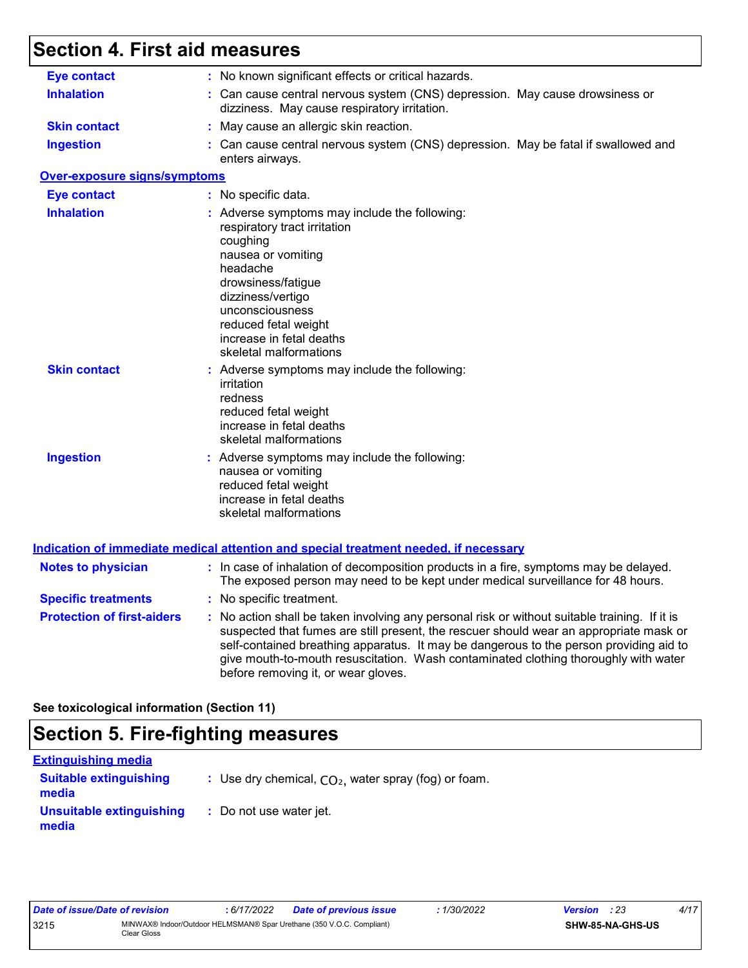# **Section 4. First aid measures**

| <b>Eye contact</b><br>: No known significant effects or critical hazards.<br><b>Inhalation</b><br>: Can cause central nervous system (CNS) depression. May cause drowsiness or<br>dizziness. May cause respiratory irritation.<br><b>Skin contact</b><br>: May cause an allergic skin reaction.<br><b>Ingestion</b><br>: Can cause central nervous system (CNS) depression. May be fatal if swallowed and<br>enters airways.<br><b>Over-exposure signs/symptoms</b><br><b>Eye contact</b><br>: No specific data.<br><b>Inhalation</b><br>: Adverse symptoms may include the following:<br>respiratory tract irritation<br>coughing<br>nausea or vomiting<br>headache<br>drowsiness/fatigue<br>dizziness/vertigo<br>unconsciousness<br>reduced fetal weight<br>increase in fetal deaths<br>skeletal malformations<br><b>Skin contact</b><br>: Adverse symptoms may include the following:<br>irritation<br>redness<br>reduced fetal weight<br>increase in fetal deaths<br>skeletal malformations<br><b>Ingestion</b><br>: Adverse symptoms may include the following:<br>nausea or vomiting<br>reduced fetal weight<br>increase in fetal deaths<br>skeletal malformations<br><b>Indication of immediate medical attention and special treatment needed, if necessary</b><br>: In case of inhalation of decomposition products in a fire, symptoms may be delayed.<br><b>Notes to physician</b><br>The exposed person may need to be kept under medical surveillance for 48 hours.<br>: No specific treatment.<br>: No action shall be taken involving any personal risk or without suitable training. If it is<br>suspected that fumes are still present, the rescuer should wear an appropriate mask or<br>self-contained breathing apparatus. It may be dangerous to the person providing aid to<br>give mouth-to-mouth resuscitation. Wash contaminated clothing thoroughly with water<br>before removing it, or wear gloves. |                                   |  |
|---------------------------------------------------------------------------------------------------------------------------------------------------------------------------------------------------------------------------------------------------------------------------------------------------------------------------------------------------------------------------------------------------------------------------------------------------------------------------------------------------------------------------------------------------------------------------------------------------------------------------------------------------------------------------------------------------------------------------------------------------------------------------------------------------------------------------------------------------------------------------------------------------------------------------------------------------------------------------------------------------------------------------------------------------------------------------------------------------------------------------------------------------------------------------------------------------------------------------------------------------------------------------------------------------------------------------------------------------------------------------------------------------------------------------------------------------------------------------------------------------------------------------------------------------------------------------------------------------------------------------------------------------------------------------------------------------------------------------------------------------------------------------------------------------------------------------------------------------------------------------------------------------------------------------------|-----------------------------------|--|
|                                                                                                                                                                                                                                                                                                                                                                                                                                                                                                                                                                                                                                                                                                                                                                                                                                                                                                                                                                                                                                                                                                                                                                                                                                                                                                                                                                                                                                                                                                                                                                                                                                                                                                                                                                                                                                                                                                                                 |                                   |  |
|                                                                                                                                                                                                                                                                                                                                                                                                                                                                                                                                                                                                                                                                                                                                                                                                                                                                                                                                                                                                                                                                                                                                                                                                                                                                                                                                                                                                                                                                                                                                                                                                                                                                                                                                                                                                                                                                                                                                 |                                   |  |
|                                                                                                                                                                                                                                                                                                                                                                                                                                                                                                                                                                                                                                                                                                                                                                                                                                                                                                                                                                                                                                                                                                                                                                                                                                                                                                                                                                                                                                                                                                                                                                                                                                                                                                                                                                                                                                                                                                                                 |                                   |  |
|                                                                                                                                                                                                                                                                                                                                                                                                                                                                                                                                                                                                                                                                                                                                                                                                                                                                                                                                                                                                                                                                                                                                                                                                                                                                                                                                                                                                                                                                                                                                                                                                                                                                                                                                                                                                                                                                                                                                 |                                   |  |
|                                                                                                                                                                                                                                                                                                                                                                                                                                                                                                                                                                                                                                                                                                                                                                                                                                                                                                                                                                                                                                                                                                                                                                                                                                                                                                                                                                                                                                                                                                                                                                                                                                                                                                                                                                                                                                                                                                                                 |                                   |  |
|                                                                                                                                                                                                                                                                                                                                                                                                                                                                                                                                                                                                                                                                                                                                                                                                                                                                                                                                                                                                                                                                                                                                                                                                                                                                                                                                                                                                                                                                                                                                                                                                                                                                                                                                                                                                                                                                                                                                 |                                   |  |
|                                                                                                                                                                                                                                                                                                                                                                                                                                                                                                                                                                                                                                                                                                                                                                                                                                                                                                                                                                                                                                                                                                                                                                                                                                                                                                                                                                                                                                                                                                                                                                                                                                                                                                                                                                                                                                                                                                                                 |                                   |  |
|                                                                                                                                                                                                                                                                                                                                                                                                                                                                                                                                                                                                                                                                                                                                                                                                                                                                                                                                                                                                                                                                                                                                                                                                                                                                                                                                                                                                                                                                                                                                                                                                                                                                                                                                                                                                                                                                                                                                 |                                   |  |
|                                                                                                                                                                                                                                                                                                                                                                                                                                                                                                                                                                                                                                                                                                                                                                                                                                                                                                                                                                                                                                                                                                                                                                                                                                                                                                                                                                                                                                                                                                                                                                                                                                                                                                                                                                                                                                                                                                                                 |                                   |  |
|                                                                                                                                                                                                                                                                                                                                                                                                                                                                                                                                                                                                                                                                                                                                                                                                                                                                                                                                                                                                                                                                                                                                                                                                                                                                                                                                                                                                                                                                                                                                                                                                                                                                                                                                                                                                                                                                                                                                 |                                   |  |
|                                                                                                                                                                                                                                                                                                                                                                                                                                                                                                                                                                                                                                                                                                                                                                                                                                                                                                                                                                                                                                                                                                                                                                                                                                                                                                                                                                                                                                                                                                                                                                                                                                                                                                                                                                                                                                                                                                                                 |                                   |  |
|                                                                                                                                                                                                                                                                                                                                                                                                                                                                                                                                                                                                                                                                                                                                                                                                                                                                                                                                                                                                                                                                                                                                                                                                                                                                                                                                                                                                                                                                                                                                                                                                                                                                                                                                                                                                                                                                                                                                 | <b>Specific treatments</b>        |  |
|                                                                                                                                                                                                                                                                                                                                                                                                                                                                                                                                                                                                                                                                                                                                                                                                                                                                                                                                                                                                                                                                                                                                                                                                                                                                                                                                                                                                                                                                                                                                                                                                                                                                                                                                                                                                                                                                                                                                 | <b>Protection of first-aiders</b> |  |

**See toxicological information (Section 11)**

## **Section 5. Fire-fighting measures**

| <b>Extinguishing media</b>             |                                                        |
|----------------------------------------|--------------------------------------------------------|
| <b>Suitable extinguishing</b><br>media | : Use dry chemical, $CO2$ , water spray (fog) or foam. |
| Unsuitable extinguishing<br>media      | : Do not use water jet.                                |

| Date of issue/Date of revision |             | : 6/17/2022 | Date of previous issue                                                | 1/30/2022 | <b>Version</b> : 23 |                  | 4/17 |  |
|--------------------------------|-------------|-------------|-----------------------------------------------------------------------|-----------|---------------------|------------------|------|--|
| 3215                           | Clear Gloss |             | MINWAX® Indoor/Outdoor HELMSMAN® Spar Urethane (350 V.O.C. Compliant) |           |                     | SHW-85-NA-GHS-US |      |  |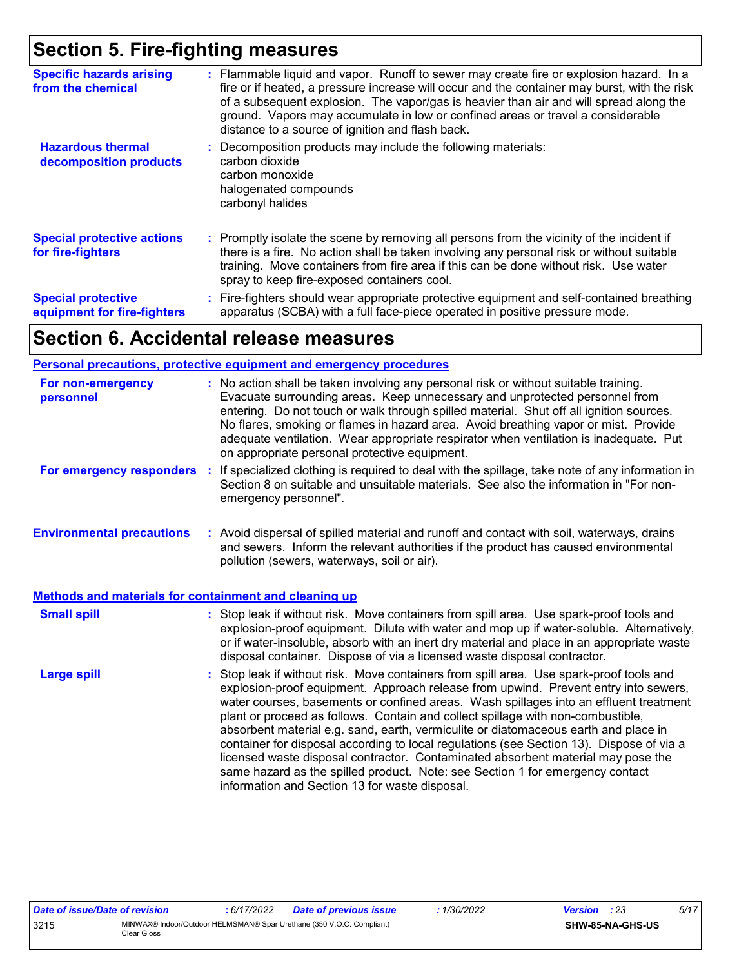### **Section 5. Fire-fighting measures**

| <b>Specific hazards arising</b><br>from the chemical     | : Flammable liquid and vapor. Runoff to sewer may create fire or explosion hazard. In a<br>fire or if heated, a pressure increase will occur and the container may burst, with the risk<br>of a subsequent explosion. The vapor/gas is heavier than air and will spread along the<br>ground. Vapors may accumulate in low or confined areas or travel a considerable<br>distance to a source of ignition and flash back. |
|----------------------------------------------------------|--------------------------------------------------------------------------------------------------------------------------------------------------------------------------------------------------------------------------------------------------------------------------------------------------------------------------------------------------------------------------------------------------------------------------|
| <b>Hazardous thermal</b><br>decomposition products       | : Decomposition products may include the following materials:<br>carbon dioxide<br>carbon monoxide<br>halogenated compounds<br>carbonyl halides                                                                                                                                                                                                                                                                          |
| <b>Special protective actions</b><br>for fire-fighters   | : Promptly isolate the scene by removing all persons from the vicinity of the incident if<br>there is a fire. No action shall be taken involving any personal risk or without suitable<br>training. Move containers from fire area if this can be done without risk. Use water<br>spray to keep fire-exposed containers cool.                                                                                            |
| <b>Special protective</b><br>equipment for fire-fighters | : Fire-fighters should wear appropriate protective equipment and self-contained breathing<br>apparatus (SCBA) with a full face-piece operated in positive pressure mode.                                                                                                                                                                                                                                                 |

### **Section 6. Accidental release measures**

#### **Environmental precautions Personal precautions, protective equipment and emergency procedures :** Avoid dispersal of spilled material and runoff and contact with soil, waterways, drains **:** No action shall be taken involving any personal risk or without suitable training. Evacuate surrounding areas. Keep unnecessary and unprotected personnel from entering. Do not touch or walk through spilled material. Shut off all ignition sources. No flares, smoking or flames in hazard area. Avoid breathing vapor or mist. Provide adequate ventilation. Wear appropriate respirator when ventilation is inadequate. Put on appropriate personal protective equipment. and sewers. Inform the relevant authorities if the product has caused environmental pollution (sewers, waterways, soil or air). **For non-emergency personnel For emergency responders :** If specialized clothing is required to deal with the spillage, take note of any information in Section 8 on suitable and unsuitable materials. See also the information in "For nonemergency personnel".

| <b>Small spill</b> | : Stop leak if without risk. Move containers from spill area. Use spark-proof tools and<br>explosion-proof equipment. Dilute with water and mop up if water-soluble. Alternatively,<br>or if water-insoluble, absorb with an inert dry material and place in an appropriate waste<br>disposal container. Dispose of via a licensed waste disposal contractor.                                                                                                                                                                                                                                                                                                                                                                                                        |
|--------------------|----------------------------------------------------------------------------------------------------------------------------------------------------------------------------------------------------------------------------------------------------------------------------------------------------------------------------------------------------------------------------------------------------------------------------------------------------------------------------------------------------------------------------------------------------------------------------------------------------------------------------------------------------------------------------------------------------------------------------------------------------------------------|
| <b>Large spill</b> | : Stop leak if without risk. Move containers from spill area. Use spark-proof tools and<br>explosion-proof equipment. Approach release from upwind. Prevent entry into sewers,<br>water courses, basements or confined areas. Wash spillages into an effluent treatment<br>plant or proceed as follows. Contain and collect spillage with non-combustible,<br>absorbent material e.g. sand, earth, vermiculite or diatomaceous earth and place in<br>container for disposal according to local regulations (see Section 13). Dispose of via a<br>licensed waste disposal contractor. Contaminated absorbent material may pose the<br>same hazard as the spilled product. Note: see Section 1 for emergency contact<br>information and Section 13 for waste disposal. |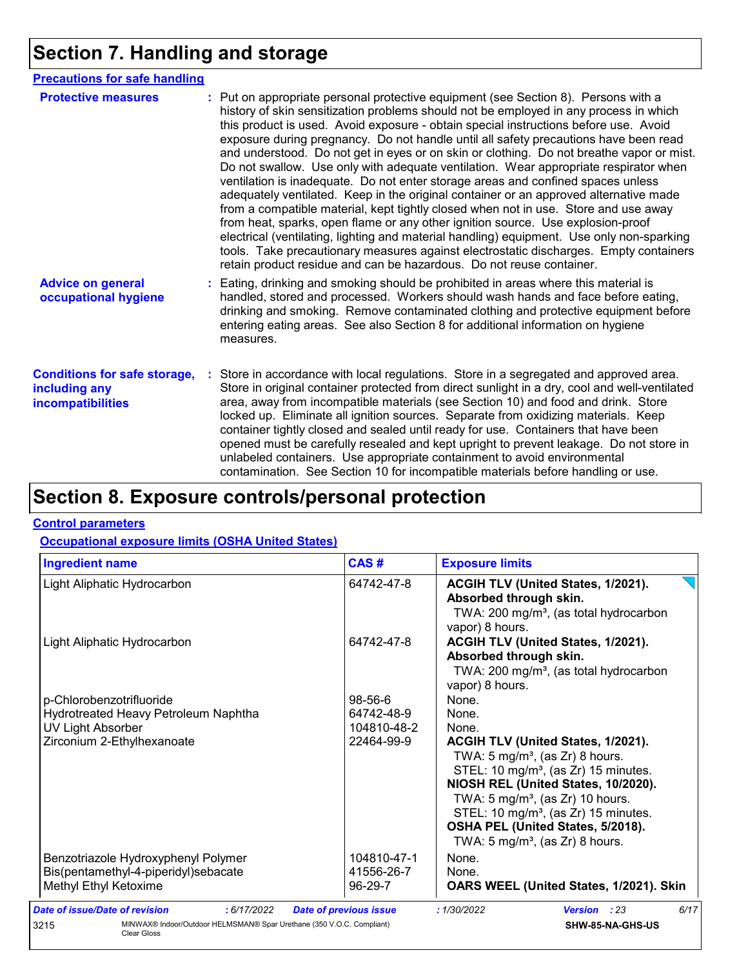# **Section 7. Handling and storage**

| <b>Precautions for safe handling</b>                                      |                                                                                                                                                                                                                                                                                                                                                                                                                                                                                                                                                                                                                                                                                                                                                                                                                                                                                                                                                                                                                                                                                                                                                                      |
|---------------------------------------------------------------------------|----------------------------------------------------------------------------------------------------------------------------------------------------------------------------------------------------------------------------------------------------------------------------------------------------------------------------------------------------------------------------------------------------------------------------------------------------------------------------------------------------------------------------------------------------------------------------------------------------------------------------------------------------------------------------------------------------------------------------------------------------------------------------------------------------------------------------------------------------------------------------------------------------------------------------------------------------------------------------------------------------------------------------------------------------------------------------------------------------------------------------------------------------------------------|
| <b>Protective measures</b>                                                | : Put on appropriate personal protective equipment (see Section 8). Persons with a<br>history of skin sensitization problems should not be employed in any process in which<br>this product is used. Avoid exposure - obtain special instructions before use. Avoid<br>exposure during pregnancy. Do not handle until all safety precautions have been read<br>and understood. Do not get in eyes or on skin or clothing. Do not breathe vapor or mist.<br>Do not swallow. Use only with adequate ventilation. Wear appropriate respirator when<br>ventilation is inadequate. Do not enter storage areas and confined spaces unless<br>adequately ventilated. Keep in the original container or an approved alternative made<br>from a compatible material, kept tightly closed when not in use. Store and use away<br>from heat, sparks, open flame or any other ignition source. Use explosion-proof<br>electrical (ventilating, lighting and material handling) equipment. Use only non-sparking<br>tools. Take precautionary measures against electrostatic discharges. Empty containers<br>retain product residue and can be hazardous. Do not reuse container. |
| <b>Advice on general</b><br>occupational hygiene                          | Eating, drinking and smoking should be prohibited in areas where this material is<br>handled, stored and processed. Workers should wash hands and face before eating,<br>drinking and smoking. Remove contaminated clothing and protective equipment before<br>entering eating areas. See also Section 8 for additional information on hygiene<br>measures.                                                                                                                                                                                                                                                                                                                                                                                                                                                                                                                                                                                                                                                                                                                                                                                                          |
| <b>Conditions for safe storage,</b><br>including any<br>incompatibilities | Store in accordance with local regulations. Store in a segregated and approved area.<br>Store in original container protected from direct sunlight in a dry, cool and well-ventilated<br>area, away from incompatible materials (see Section 10) and food and drink. Store<br>locked up. Eliminate all ignition sources. Separate from oxidizing materials. Keep<br>container tightly closed and sealed until ready for use. Containers that have been<br>opened must be carefully resealed and kept upright to prevent leakage. Do not store in<br>unlabeled containers. Use appropriate containment to avoid environmental<br>contamination. See Section 10 for incompatible materials before handling or use.                                                                                                                                                                                                                                                                                                                                                                                                                                                     |

# **Section 8. Exposure controls/personal protection**

#### **Control parameters**

### **Occupational exposure limits (OSHA United States)**

| Light Aliphatic Hydrocarbon                                                                                                | 64742-47-8                                                                                                                                          | ACGIH TLV (United States, 1/2021).                                                                                                                                                                                                                                                                                                                                                           |  |
|----------------------------------------------------------------------------------------------------------------------------|-----------------------------------------------------------------------------------------------------------------------------------------------------|----------------------------------------------------------------------------------------------------------------------------------------------------------------------------------------------------------------------------------------------------------------------------------------------------------------------------------------------------------------------------------------------|--|
|                                                                                                                            |                                                                                                                                                     | Absorbed through skin.<br>TWA: 200 mg/m <sup>3</sup> , (as total hydrocarbon<br>vapor) 8 hours.                                                                                                                                                                                                                                                                                              |  |
| Light Aliphatic Hydrocarbon                                                                                                | ACGIH TLV (United States, 1/2021).<br>64742-47-8<br>Absorbed through skin.<br>TWA: 200 mg/m <sup>3</sup> , (as total hydrocarbon<br>vapor) 8 hours. |                                                                                                                                                                                                                                                                                                                                                                                              |  |
| p-Chlorobenzotrifluoride<br>Hydrotreated Heavy Petroleum Naphtha<br><b>UV Light Absorber</b><br>Zirconium 2-Ethylhexanoate | 98-56-6<br>64742-48-9<br>104810-48-2<br>22464-99-9                                                                                                  | None.<br>None.<br>None.<br>ACGIH TLV (United States, 1/2021).<br>TWA: $5 \text{ mg/m}^3$ , (as Zr) 8 hours.<br>STEL: 10 mg/m <sup>3</sup> , (as Zr) 15 minutes.<br>NIOSH REL (United States, 10/2020).<br>TWA: $5 \text{ mg/m}^3$ , (as Zr) 10 hours.<br>STEL: 10 mg/m <sup>3</sup> , (as Zr) 15 minutes.<br>OSHA PEL (United States, 5/2018).<br>TWA: $5 \text{ mg/m}^3$ , (as Zr) 8 hours. |  |
| Benzotriazole Hydroxyphenyl Polymer<br>Bis(pentamethyl-4-piperidyl)sebacate<br>Methyl Ethyl Ketoxime                       | 104810-47-1<br>41556-26-7<br>96-29-7                                                                                                                | None.<br>None.<br>OARS WEEL (United States, 1/2021). Skin                                                                                                                                                                                                                                                                                                                                    |  |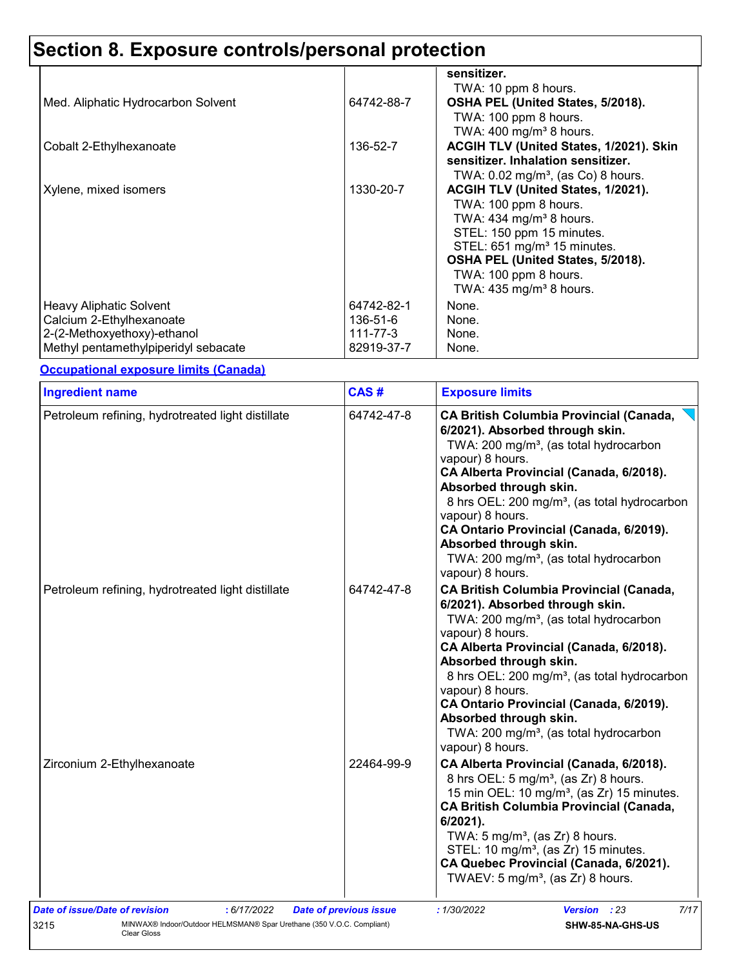# **Section 8. Exposure controls/personal protection**

|                                      |            | sensitizer.<br>TWA: 10 ppm 8 hours.                                                                |
|--------------------------------------|------------|----------------------------------------------------------------------------------------------------|
| Med. Aliphatic Hydrocarbon Solvent   | 64742-88-7 | OSHA PEL (United States, 5/2018).<br>TWA: 100 ppm 8 hours.                                         |
| Cobalt 2-Ethylhexanoate              | 136-52-7   | TWA: $400 \text{ mg/m}^3$ 8 hours.<br>ACGIH TLV (United States, 1/2021). Skin                      |
|                                      | 1330-20-7  | sensitizer. Inhalation sensitizer.<br>TWA: $0.02$ mg/m <sup>3</sup> , (as Co) 8 hours.             |
| Xylene, mixed isomers                |            | ACGIH TLV (United States, 1/2021).<br>TWA: 100 ppm 8 hours.<br>TWA: 434 mg/m <sup>3</sup> 8 hours. |
|                                      |            | STEL: 150 ppm 15 minutes.<br>STEL: 651 mg/m <sup>3</sup> 15 minutes.                               |
|                                      |            | OSHA PEL (United States, 5/2018).<br>TWA: 100 ppm 8 hours.                                         |
|                                      |            | TWA: $435 \text{ mg/m}^3$ 8 hours.                                                                 |
| Heavy Aliphatic Solvent              | 64742-82-1 | None.                                                                                              |
| Calcium 2-Ethylhexanoate             | 136-51-6   | None.                                                                                              |
| 2-(2-Methoxyethoxy)-ethanol          | 111-77-3   | None.                                                                                              |
| Methyl pentamethylpiperidyl sebacate | 82919-37-7 | None.                                                                                              |

**Occupational exposure limits (Canada)**

| Petroleum refining, hydrotreated light distillate<br>64742-47-8<br>vapour) 8 hours.<br>vapour) 8 hours.<br>vapour) 8 hours.<br>64742-47-8<br>Petroleum refining, hydrotreated light distillate<br>vapour) 8 hours.<br>vapour) 8 hours.<br>vapour) 8 hours.<br>Zirconium 2-Ethylhexanoate<br>22464-99-9 |                                                                                                                                                                                                                                                                                                                                                                                                          |  |  |
|--------------------------------------------------------------------------------------------------------------------------------------------------------------------------------------------------------------------------------------------------------------------------------------------------------|----------------------------------------------------------------------------------------------------------------------------------------------------------------------------------------------------------------------------------------------------------------------------------------------------------------------------------------------------------------------------------------------------------|--|--|
|                                                                                                                                                                                                                                                                                                        | <b>CA British Columbia Provincial (Canada,</b><br>6/2021). Absorbed through skin.<br>TWA: 200 mg/m <sup>3</sup> , (as total hydrocarbon<br>CA Alberta Provincial (Canada, 6/2018).<br>Absorbed through skin.<br>8 hrs OEL: 200 mg/m <sup>3</sup> , (as total hydrocarbon<br>CA Ontario Provincial (Canada, 6/2019).<br>Absorbed through skin.<br>TWA: 200 mg/m <sup>3</sup> , (as total hydrocarbon      |  |  |
|                                                                                                                                                                                                                                                                                                        | <b>CA British Columbia Provincial (Canada,</b><br>6/2021). Absorbed through skin.<br>TWA: 200 mg/m <sup>3</sup> , (as total hydrocarbon<br>CA Alberta Provincial (Canada, 6/2018).<br>Absorbed through skin.<br>8 hrs OEL: 200 mg/m <sup>3</sup> , (as total hydrocarbon<br>CA Ontario Provincial (Canada, 6/2019).<br>Absorbed through skin.<br>TWA: 200 mg/m <sup>3</sup> , (as total hydrocarbon      |  |  |
| 6/2021).                                                                                                                                                                                                                                                                                               | CA Alberta Provincial (Canada, 6/2018).<br>8 hrs OEL: 5 mg/m <sup>3</sup> , (as Zr) 8 hours.<br>15 min OEL: 10 mg/m <sup>3</sup> , (as Zr) 15 minutes.<br><b>CA British Columbia Provincial (Canada,</b><br>TWA: $5 \text{ mg/m}^3$ , (as Zr) 8 hours.<br>STEL: 10 mg/m <sup>3</sup> , (as Zr) 15 minutes.<br>CA Quebec Provincial (Canada, 6/2021).<br>TWAEV: 5 mg/m <sup>3</sup> , (as $Zr$ ) 8 hours. |  |  |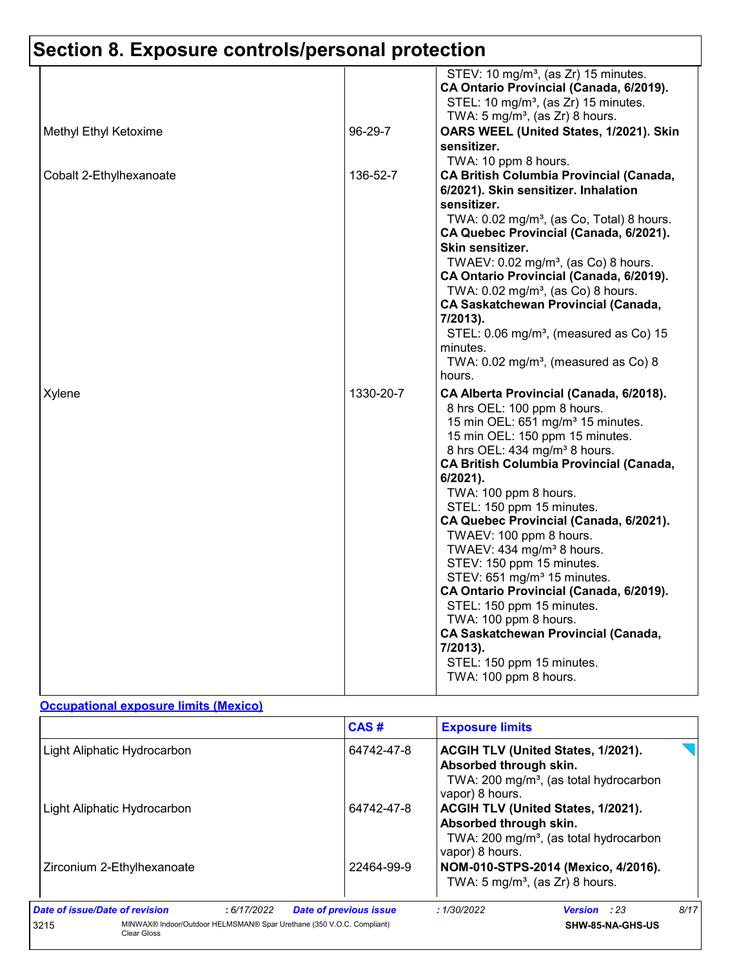# **Section 8. Exposure controls/personal protection**

| Methyl Ethyl Ketoxime   | 96-29-7   | STEV: 10 mg/m <sup>3</sup> , (as Zr) 15 minutes.<br>CA Ontario Provincial (Canada, 6/2019).<br>STEL: 10 mg/m <sup>3</sup> , (as Zr) 15 minutes.<br>TWA: $5 \text{ mg/m}^3$ , (as Zr) 8 hours.<br>OARS WEEL (United States, 1/2021). Skin                                                                                                                                                                                                                                                                             |
|-------------------------|-----------|----------------------------------------------------------------------------------------------------------------------------------------------------------------------------------------------------------------------------------------------------------------------------------------------------------------------------------------------------------------------------------------------------------------------------------------------------------------------------------------------------------------------|
| Cobalt 2-Ethylhexanoate | 136-52-7  | sensitizer.<br>TWA: 10 ppm 8 hours.<br><b>CA British Columbia Provincial (Canada,</b><br>6/2021). Skin sensitizer. Inhalation<br>sensitizer.<br>TWA: 0.02 mg/m <sup>3</sup> , (as Co, Total) 8 hours.<br>CA Quebec Provincial (Canada, 6/2021).<br>Skin sensitizer.<br>TWAEV: 0.02 mg/m <sup>3</sup> , (as Co) 8 hours.                                                                                                                                                                                              |
|                         |           | CA Ontario Provincial (Canada, 6/2019).<br>TWA: 0.02 mg/m <sup>3</sup> , (as Co) 8 hours.<br><b>CA Saskatchewan Provincial (Canada,</b><br>7/2013).<br>STEL: 0.06 mg/m <sup>3</sup> , (measured as Co) 15<br>minutes.<br>TWA: $0.02$ mg/m <sup>3</sup> , (measured as Co) 8<br>hours.                                                                                                                                                                                                                                |
| Xylene                  | 1330-20-7 | CA Alberta Provincial (Canada, 6/2018).<br>8 hrs OEL: 100 ppm 8 hours.<br>15 min OEL: 651 mg/m <sup>3</sup> 15 minutes.<br>15 min OEL: 150 ppm 15 minutes.<br>8 hrs OEL: 434 mg/m <sup>3</sup> 8 hours.<br><b>CA British Columbia Provincial (Canada,</b><br>$6/2021$ ).<br>TWA: 100 ppm 8 hours.<br>STEL: 150 ppm 15 minutes.<br>CA Quebec Provincial (Canada, 6/2021).<br>TWAEV: 100 ppm 8 hours.<br>TWAEV: 434 mg/m <sup>3</sup> 8 hours.<br>STEV: 150 ppm 15 minutes.<br>STEV: 651 mg/m <sup>3</sup> 15 minutes. |
|                         |           | CA Ontario Provincial (Canada, 6/2019).<br>STEL: 150 ppm 15 minutes.<br>TWA: 100 ppm 8 hours.<br><b>CA Saskatchewan Provincial (Canada,</b><br>7/2013).<br>STEL: 150 ppm 15 minutes.<br>TWA: 100 ppm 8 hours.                                                                                                                                                                                                                                                                                                        |

### **Occupational exposure limits (Mexico)**

|                                |                                                                                             | CAS#                          |            | <b>Exposure limits</b>                                                                                                                       |      |  |
|--------------------------------|---------------------------------------------------------------------------------------------|-------------------------------|------------|----------------------------------------------------------------------------------------------------------------------------------------------|------|--|
|                                | Light Aliphatic Hydrocarbon                                                                 | 64742-47-8                    |            | <b>ACGIH TLV (United States, 1/2021).</b><br>Absorbed through skin.<br>TWA: 200 mg/m <sup>3</sup> , (as total hydrocarbon<br>vapor) 8 hours. |      |  |
|                                | Light Aliphatic Hydrocarbon                                                                 | 64742-47-8                    |            | <b>ACGIH TLV (United States, 1/2021).</b><br>Absorbed through skin.<br>TWA: 200 mg/m <sup>3</sup> , (as total hydrocarbon<br>vapor) 8 hours. |      |  |
|                                | Zirconium 2-Ethylhexanoate                                                                  | 22464-99-9                    |            | NOM-010-STPS-2014 (Mexico, 4/2016).<br>TWA: $5 \text{ mg/m}^3$ , (as Zr) 8 hours.                                                            |      |  |
| Date of issue/Date of revision | :6/17/2022                                                                                  | <b>Date of previous issue</b> | :1/30/2022 | <b>Version</b> : 23                                                                                                                          | 8/17 |  |
| 3215                           | MINWAX® Indoor/Outdoor HELMSMAN® Spar Urethane (350 V.O.C. Compliant)<br><b>Clear Gloss</b> |                               |            | <b>SHW-85-NA-GHS-US</b>                                                                                                                      |      |  |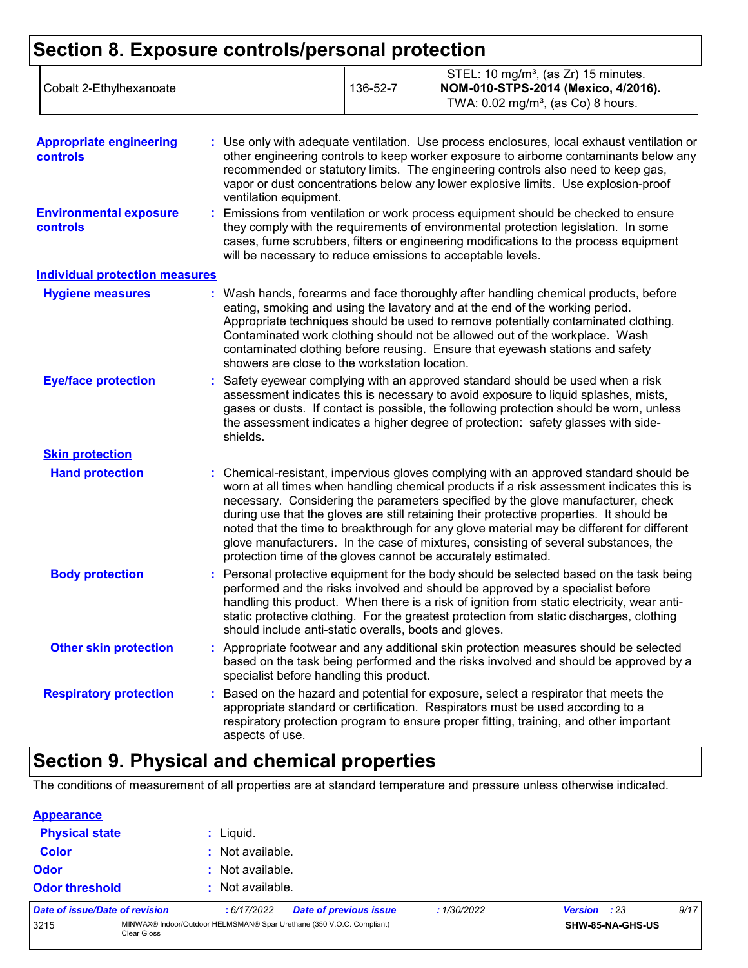# **Section 8. Exposure controls/personal protection**

| <b>Appropriate engineering</b><br><b>controls</b><br><b>Environmental exposure</b> | : Use only with adequate ventilation. Use process enclosures, local exhaust ventilation or<br>other engineering controls to keep worker exposure to airborne contaminants below any<br>recommended or statutory limits. The engineering controls also need to keep gas,<br>vapor or dust concentrations below any lower explosive limits. Use explosion-proof<br>ventilation equipment.<br>Emissions from ventilation or work process equipment should be checked to ensure                                                                                                                                            |
|------------------------------------------------------------------------------------|------------------------------------------------------------------------------------------------------------------------------------------------------------------------------------------------------------------------------------------------------------------------------------------------------------------------------------------------------------------------------------------------------------------------------------------------------------------------------------------------------------------------------------------------------------------------------------------------------------------------|
| <b>controls</b>                                                                    | they comply with the requirements of environmental protection legislation. In some<br>cases, fume scrubbers, filters or engineering modifications to the process equipment<br>will be necessary to reduce emissions to acceptable levels.                                                                                                                                                                                                                                                                                                                                                                              |
| <b>Individual protection measures</b>                                              |                                                                                                                                                                                                                                                                                                                                                                                                                                                                                                                                                                                                                        |
| <b>Hygiene measures</b>                                                            | : Wash hands, forearms and face thoroughly after handling chemical products, before<br>eating, smoking and using the lavatory and at the end of the working period.<br>Appropriate techniques should be used to remove potentially contaminated clothing.<br>Contaminated work clothing should not be allowed out of the workplace. Wash<br>contaminated clothing before reusing. Ensure that eyewash stations and safety<br>showers are close to the workstation location.                                                                                                                                            |
| <b>Eye/face protection</b>                                                         | : Safety eyewear complying with an approved standard should be used when a risk<br>assessment indicates this is necessary to avoid exposure to liquid splashes, mists,<br>gases or dusts. If contact is possible, the following protection should be worn, unless<br>the assessment indicates a higher degree of protection: safety glasses with side-<br>shields.                                                                                                                                                                                                                                                     |
| <b>Skin protection</b>                                                             |                                                                                                                                                                                                                                                                                                                                                                                                                                                                                                                                                                                                                        |
| <b>Hand protection</b>                                                             | : Chemical-resistant, impervious gloves complying with an approved standard should be<br>worn at all times when handling chemical products if a risk assessment indicates this is<br>necessary. Considering the parameters specified by the glove manufacturer, check<br>during use that the gloves are still retaining their protective properties. It should be<br>noted that the time to breakthrough for any glove material may be different for different<br>glove manufacturers. In the case of mixtures, consisting of several substances, the<br>protection time of the gloves cannot be accurately estimated. |
| <b>Body protection</b>                                                             | : Personal protective equipment for the body should be selected based on the task being<br>performed and the risks involved and should be approved by a specialist before<br>handling this product. When there is a risk of ignition from static electricity, wear anti-<br>static protective clothing. For the greatest protection from static discharges, clothing<br>should include anti-static overalls, boots and gloves.                                                                                                                                                                                         |
| <b>Other skin protection</b>                                                       | : Appropriate footwear and any additional skin protection measures should be selected<br>based on the task being performed and the risks involved and should be approved by a<br>specialist before handling this product.                                                                                                                                                                                                                                                                                                                                                                                              |
| <b>Respiratory protection</b>                                                      | : Based on the hazard and potential for exposure, select a respirator that meets the<br>appropriate standard or certification. Respirators must be used according to a<br>respiratory protection program to ensure proper fitting, training, and other important<br>aspects of use.                                                                                                                                                                                                                                                                                                                                    |

## **Section 9. Physical and chemical properties**

The conditions of measurement of all properties are at standard temperature and pressure unless otherwise indicated.

| <b>Appearance</b>                 |  |
|-----------------------------------|--|
| Police and the state of the first |  |

| Liquid.<br><b>Physical state</b>                                                             |  |  |                  |                        |            |                     |  |      |
|----------------------------------------------------------------------------------------------|--|--|------------------|------------------------|------------|---------------------|--|------|
| <b>Color</b>                                                                                 |  |  | : Not available. |                        |            |                     |  |      |
| <b>Odor</b><br>: Not available.                                                              |  |  |                  |                        |            |                     |  |      |
| <b>Odor threshold</b><br>: Not available.                                                    |  |  |                  |                        |            |                     |  |      |
| Date of issue/Date of revision                                                               |  |  | :6/17/2022       | Date of previous issue | :1/30/2022 | <b>Version</b> : 23 |  | 9/17 |
| MINWAX® Indoor/Outdoor HELMSMAN® Spar Urethane (350 V.O.C. Compliant)<br>3215<br>Clear Gloss |  |  |                  | SHW-85-NA-GHS-US       |            |                     |  |      |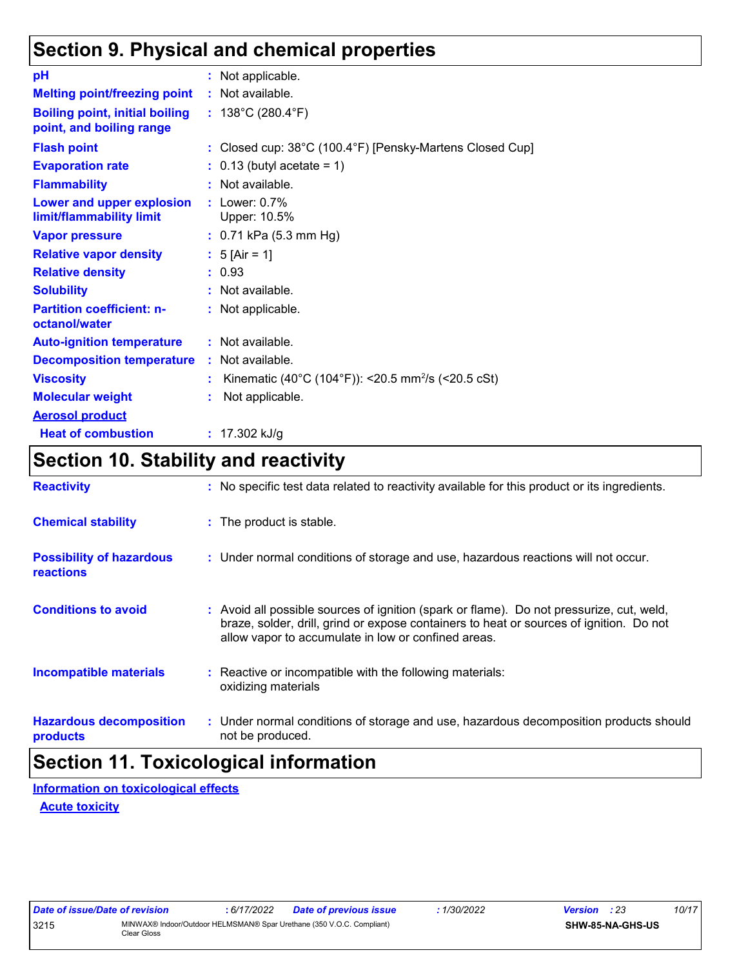## **Section 9. Physical and chemical properties**

| рH                                                                | : Not applicable.                                              |
|-------------------------------------------------------------------|----------------------------------------------------------------|
| <b>Melting point/freezing point</b>                               | : Not available.                                               |
| <b>Boiling point, initial boiling</b><br>point, and boiling range | : $138^{\circ}$ C (280.4 $^{\circ}$ F)                         |
| <b>Flash point</b>                                                | : Closed cup: 38°C (100.4°F) [Pensky-Martens Closed Cup]       |
| <b>Evaporation rate</b>                                           | $: 0.13$ (butyl acetate = 1)                                   |
| <b>Flammability</b>                                               | $:$ Not available.                                             |
| Lower and upper explosion<br>limit/flammability limit             | $:$ Lower: $0.7\%$<br>Upper: 10.5%                             |
| <b>Vapor pressure</b>                                             | : 0.71 kPa (5.3 mm Hg)                                         |
| <b>Relative vapor density</b>                                     | : $5$ [Air = 1]                                                |
| <b>Relative density</b>                                           | : 0.93                                                         |
| <b>Solubility</b>                                                 | : Not available.                                               |
| <b>Partition coefficient: n-</b><br>octanol/water                 | : Not applicable.                                              |
| <b>Auto-ignition temperature</b>                                  | : Not available.                                               |
| <b>Decomposition temperature</b>                                  | : Not available.                                               |
| <b>Viscosity</b>                                                  | Kinematic (40°C (104°F)): <20.5 mm <sup>2</sup> /s (<20.5 cSt) |
| <b>Molecular weight</b>                                           | Not applicable.                                                |
| <b>Aerosol product</b>                                            |                                                                |
| <b>Heat of combustion</b>                                         | : $17.302$ kJ/g                                                |

### **Section 10. Stability and reactivity**

| <b>Reactivity</b>                            | : No specific test data related to reactivity available for this product or its ingredients.                                                                                                                                               |
|----------------------------------------------|--------------------------------------------------------------------------------------------------------------------------------------------------------------------------------------------------------------------------------------------|
| <b>Chemical stability</b>                    | : The product is stable.                                                                                                                                                                                                                   |
| <b>Possibility of hazardous</b><br>reactions | : Under normal conditions of storage and use, hazardous reactions will not occur.                                                                                                                                                          |
| <b>Conditions to avoid</b>                   | : Avoid all possible sources of ignition (spark or flame). Do not pressurize, cut, weld,<br>braze, solder, drill, grind or expose containers to heat or sources of ignition. Do not<br>allow vapor to accumulate in low or confined areas. |
| <b>Incompatible materials</b>                | : Reactive or incompatible with the following materials:<br>oxidizing materials                                                                                                                                                            |
| <b>Hazardous decomposition</b><br>products   | : Under normal conditions of storage and use, hazardous decomposition products should<br>not be produced.                                                                                                                                  |

# **Section 11. Toxicological information**

**Acute toxicity Information on toxicological effects**

| Date of issue/Date of revision |                                                                                      | 6/17/2022 | <b>Date of previous issue</b> | 1/30/2022 | <b>Version</b> : 23 |                         | 10/17 |
|--------------------------------|--------------------------------------------------------------------------------------|-----------|-------------------------------|-----------|---------------------|-------------------------|-------|
| 3215                           | MINWAX® Indoor/Outdoor HELMSMAN® Spar Urethane (350 V.O.C. Compliant)<br>Clear Gloss |           |                               |           |                     | <b>SHW-85-NA-GHS-US</b> |       |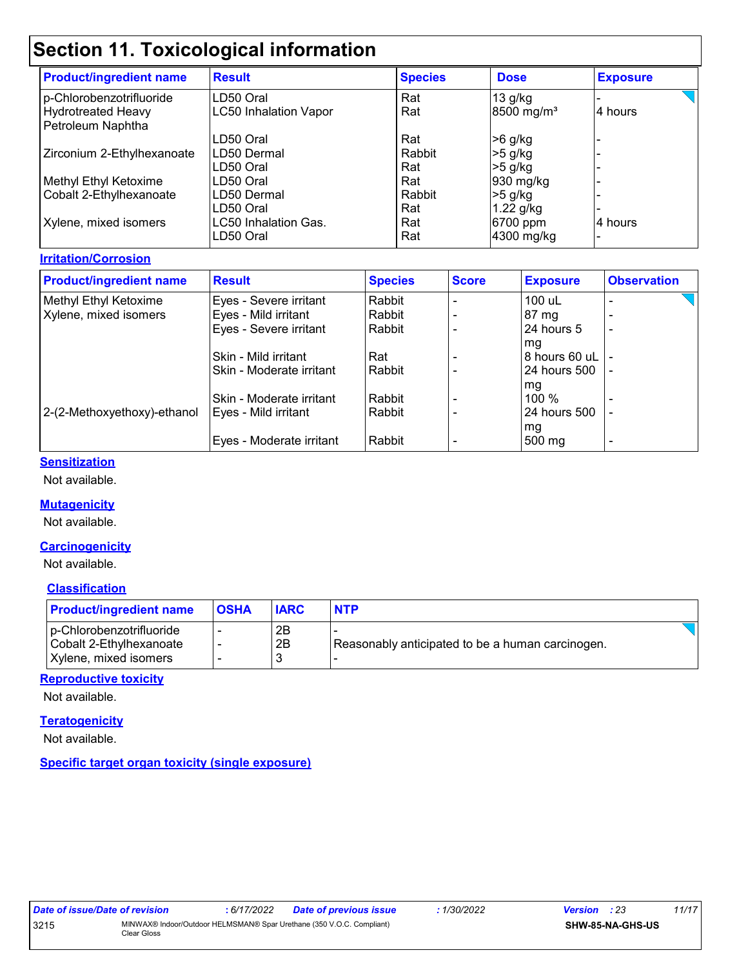# **Section 11. Toxicological information**

| <b>Result</b>                | <b>Species</b> | <b>Dose</b>            | <b>Exposure</b> |
|------------------------------|----------------|------------------------|-----------------|
| LD50 Oral                    | Rat            | $13$ g/kg              |                 |
| <b>LC50 Inhalation Vapor</b> | Rat            | 8500 mg/m <sup>3</sup> | 4 hours         |
|                              |                |                        |                 |
| LD50 Oral                    | Rat            | >6 g/kg                |                 |
| ILD50 Dermal                 | Rabbit         | $>5$ g/kg              |                 |
| LD50 Oral                    | Rat            | $>5$ g/kg              |                 |
| LD50 Oral                    | Rat            | $930$ mg/kg            |                 |
| LD50 Dermal                  | Rabbit         | $>5$ g/kg              |                 |
| LD50 Oral                    | Rat            | $1.22$ g/kg            |                 |
| LC50 Inhalation Gas.         | Rat            | 6700 ppm               | 4 hours         |
| LD50 Oral                    | Rat            | 4300 mg/kg             |                 |
|                              |                |                        |                 |

### **Irritation/Corrosion**

| <b>Product/ingredient name</b> | <b>Result</b>            | <b>Species</b> | <b>Score</b> | <b>Exposure</b> | <b>Observation</b>       |
|--------------------------------|--------------------------|----------------|--------------|-----------------|--------------------------|
| Methyl Ethyl Ketoxime          | Eyes - Severe irritant   | Rabbit         |              | 100 uL          |                          |
| Xylene, mixed isomers          | Eyes - Mild irritant     | Rabbit         |              | 87 mg           |                          |
|                                | Eyes - Severe irritant   | Rabbit         |              | 24 hours 5      | -                        |
|                                |                          |                |              | mg              |                          |
|                                | Skin - Mild irritant     | Rat            |              | 8 hours 60 uL   |                          |
|                                | Skin - Moderate irritant | Rabbit         |              | 24 hours 500    | $\overline{\phantom{a}}$ |
|                                |                          |                |              | mg              |                          |
|                                | Skin - Moderate irritant | Rabbit         |              | 100 %           |                          |
| 2-(2-Methoxyethoxy)-ethanol    | Eyes - Mild irritant     | Rabbit         |              | 24 hours 500    |                          |
|                                |                          |                |              | mg              |                          |
|                                | Eyes - Moderate irritant | Rabbit         |              | 500 mg          | -                        |

#### **Sensitization**

Not available.

### **Mutagenicity**

Not available.

### **Carcinogenicity**

Not available.

#### **Classification**

| <b>Product/ingredient name</b>                                               | <b>OSHA</b> | <b>IARC</b> | <b>NTP</b>                                       |
|------------------------------------------------------------------------------|-------------|-------------|--------------------------------------------------|
| p-Chlorobenzotrifluoride<br>Cobalt 2-Ethylhexanoate<br>Xylene, mixed isomers |             | 2Β<br>2B    | Reasonably anticipated to be a human carcinogen. |

#### **Reproductive toxicity**

Not available.

### **Teratogenicity**

Not available.

### **Specific target organ toxicity (single exposure)**

| Date of issue/Date of revision |             | 6/17/2022 | Date of previous issue                                                | 1/30/2022 | <b>Version</b> : 23 |                         | 11/17 |
|--------------------------------|-------------|-----------|-----------------------------------------------------------------------|-----------|---------------------|-------------------------|-------|
| 3215                           | Clear Gloss |           | MINWAX® Indoor/Outdoor HELMSMAN® Spar Urethane (350 V.O.C. Compliant) |           |                     | <b>SHW-85-NA-GHS-US</b> |       |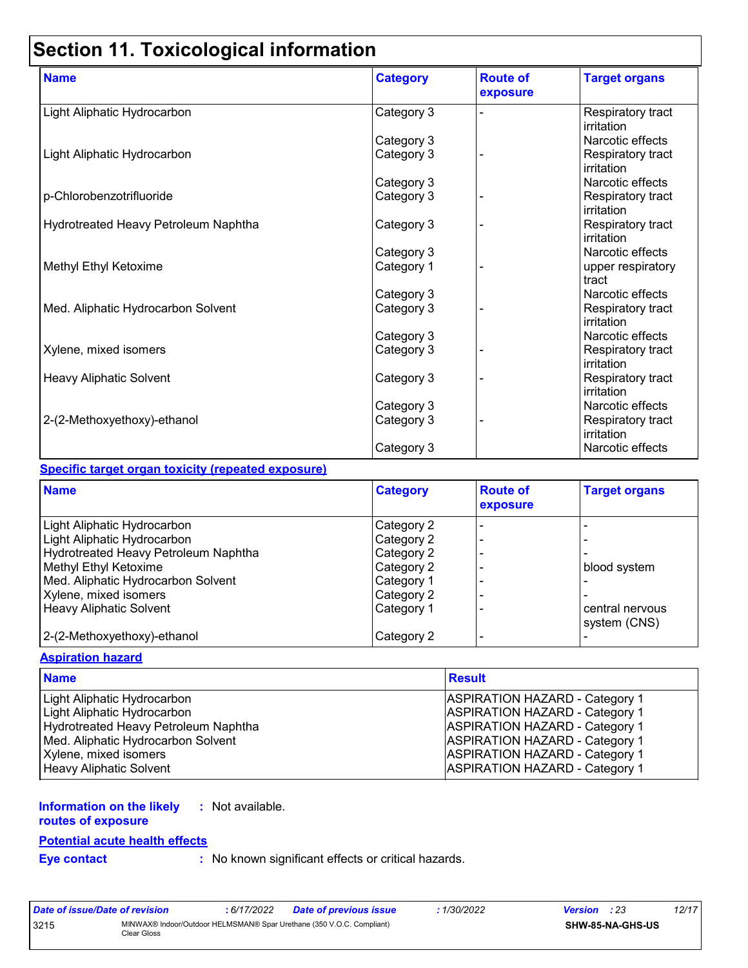# **Section 11. Toxicological information**

| <b>Name</b>                          | <b>Category</b> | <b>Route of</b><br>exposure | <b>Target organs</b>            |
|--------------------------------------|-----------------|-----------------------------|---------------------------------|
| Light Aliphatic Hydrocarbon          | Category 3      |                             | Respiratory tract<br>irritation |
|                                      | Category 3      |                             | Narcotic effects                |
| Light Aliphatic Hydrocarbon          | Category 3      |                             | Respiratory tract<br>irritation |
|                                      | Category 3      |                             | Narcotic effects                |
| p-Chlorobenzotrifluoride             | Category 3      |                             | Respiratory tract<br>irritation |
| Hydrotreated Heavy Petroleum Naphtha | Category 3      |                             | Respiratory tract<br>irritation |
|                                      | Category 3      |                             | Narcotic effects                |
| Methyl Ethyl Ketoxime                | Category 1      |                             | upper respiratory<br>tract      |
|                                      | Category 3      |                             | Narcotic effects                |
| Med. Aliphatic Hydrocarbon Solvent   | Category 3      |                             | Respiratory tract<br>irritation |
|                                      | Category 3      |                             | Narcotic effects                |
| Xylene, mixed isomers                | Category 3      |                             | Respiratory tract<br>irritation |
| <b>Heavy Aliphatic Solvent</b>       | Category 3      |                             | Respiratory tract<br>irritation |
|                                      | Category 3      |                             | Narcotic effects                |
| 2-(2-Methoxyethoxy)-ethanol          | Category 3      |                             | Respiratory tract<br>irritation |
|                                      | Category 3      |                             | Narcotic effects                |

#### **Specific target organ toxicity (repeated exposure)**

| <b>Name</b>                          | <b>Category</b> | <b>Route of</b><br>exposure | <b>Target organs</b>            |
|--------------------------------------|-----------------|-----------------------------|---------------------------------|
| Light Aliphatic Hydrocarbon          | Category 2      |                             |                                 |
| Light Aliphatic Hydrocarbon          | Category 2      |                             |                                 |
| Hydrotreated Heavy Petroleum Naphtha | Category 2      | $\blacksquare$              |                                 |
| Methyl Ethyl Ketoxime                | Category 2      |                             | blood system                    |
| Med. Aliphatic Hydrocarbon Solvent   | Category 1      |                             |                                 |
| Xylene, mixed isomers                | Category 2      | $\overline{\phantom{0}}$    |                                 |
| <b>Heavy Aliphatic Solvent</b>       | Category 1      |                             | central nervous<br>system (CNS) |
| 2-(2-Methoxyethoxy)-ethanol          | Category 2      |                             |                                 |

#### **Aspiration hazard**

| <b>Name</b>                          | <b>Result</b>                         |
|--------------------------------------|---------------------------------------|
| Light Aliphatic Hydrocarbon          | <b>ASPIRATION HAZARD - Category 1</b> |
| Light Aliphatic Hydrocarbon          | <b>ASPIRATION HAZARD - Category 1</b> |
| Hydrotreated Heavy Petroleum Naphtha | <b>ASPIRATION HAZARD - Category 1</b> |
| Med. Aliphatic Hydrocarbon Solvent   | <b>ASPIRATION HAZARD - Category 1</b> |
| Xylene, mixed isomers                | <b>ASPIRATION HAZARD - Category 1</b> |
| Heavy Aliphatic Solvent              | <b>ASPIRATION HAZARD - Category 1</b> |

#### **Information on the likely :** Not available.

### **routes of exposure**

### **Potential acute health effects**

**Eye contact :** No known significant effects or critical hazards.

| Date of issue/Date of revision |                                                                                      | : 6/17/2022 | <b>Date of previous issue</b> | 1/30/2022 | <b>Version</b> : 23 |                         | 12/17 |
|--------------------------------|--------------------------------------------------------------------------------------|-------------|-------------------------------|-----------|---------------------|-------------------------|-------|
| 3215                           | MINWAX® Indoor/Outdoor HELMSMAN® Spar Urethane (350 V.O.C. Compliant)<br>Clear Gloss |             |                               |           |                     | <b>SHW-85-NA-GHS-US</b> |       |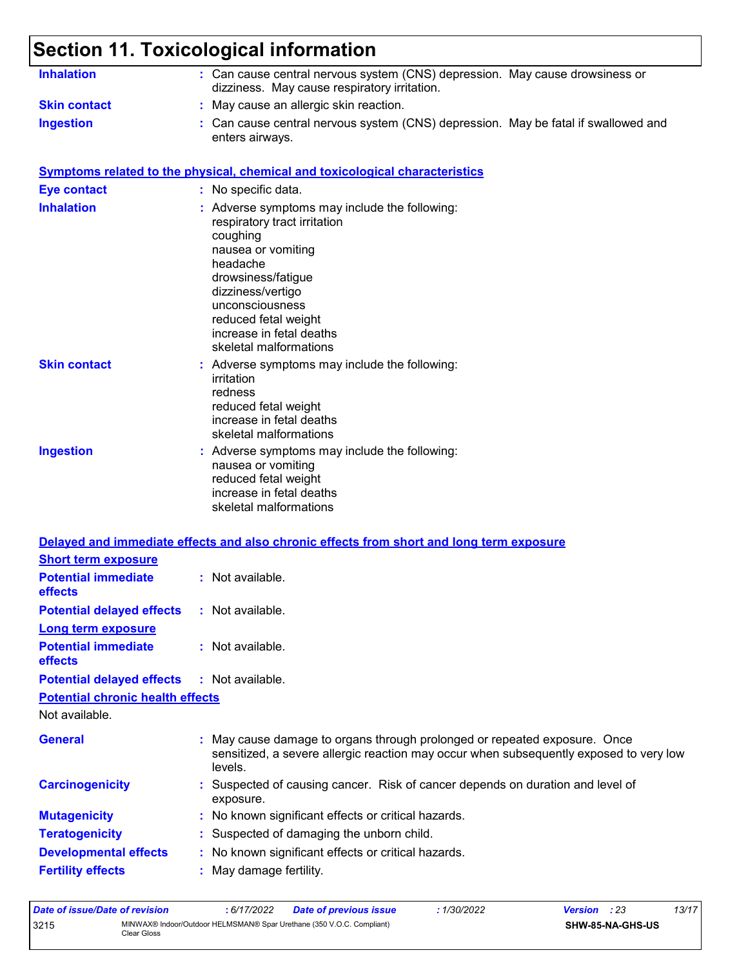#### **Section 11. Toxicological information Inhalation :** Can cause central nervous system (CNS) depression. May cause drowsiness or dizziness. May cause respiratory irritation. Can cause central nervous system (CNS) depression. May be fatal if swallowed and enters airways. **Ingestion : Skin contact :** May cause an allergic skin reaction. **Symptoms related to the physical, chemical and toxicological characteristics Skin contact Ingestion Inhalation Adverse symptoms may include the following:**  $\blacksquare$ respiratory tract irritation coughing nausea or vomiting headache drowsiness/fatigue dizziness/vertigo unconsciousness reduced fetal weight increase in fetal deaths skeletal malformations Adverse symptoms may include the following: **:** irritation redness reduced fetal weight increase in fetal deaths skeletal malformations **Eye contact :** No specific data.

Adverse symptoms may include the following: **:** nausea or vomiting reduced fetal weight increase in fetal deaths skeletal malformations

### **Delayed and immediate effects and also chronic effects from short and long term exposure Short term exposure**

| <b>Potential immediate</b><br><b>effects</b> | : Not available.                                                                                                                                                               |
|----------------------------------------------|--------------------------------------------------------------------------------------------------------------------------------------------------------------------------------|
| <b>Potential delayed effects</b>             | : Not available.                                                                                                                                                               |
| <b>Long term exposure</b>                    |                                                                                                                                                                                |
| <b>Potential immediate</b><br><b>effects</b> | : Not available.                                                                                                                                                               |
| <b>Potential delayed effects</b>             | : Not available.                                                                                                                                                               |
| <b>Potential chronic health effects</b>      |                                                                                                                                                                                |
| Not available.                               |                                                                                                                                                                                |
| <b>General</b>                               | : May cause damage to organs through prolonged or repeated exposure. Once<br>sensitized, a severe allergic reaction may occur when subsequently exposed to very low<br>levels. |
| <b>Carcinogenicity</b>                       | : Suspected of causing cancer. Risk of cancer depends on duration and level of<br>exposure.                                                                                    |
| <b>Mutagenicity</b>                          | : No known significant effects or critical hazards.                                                                                                                            |
| <b>Teratogenicity</b>                        | : Suspected of damaging the unborn child.                                                                                                                                      |
| <b>Developmental effects</b>                 | : No known significant effects or critical hazards.                                                                                                                            |
| <b>Fertility effects</b>                     | : May damage fertility.                                                                                                                                                        |

| Date of issue/Date of revision |                                                                                      | : 6/17/2022 | Date of previous issue | 1/30/2022 | Version | : 23             | 13/17 |
|--------------------------------|--------------------------------------------------------------------------------------|-------------|------------------------|-----------|---------|------------------|-------|
| 3215                           | MINWAX® Indoor/Outdoor HELMSMAN® Spar Urethane (350 V.O.C. Compliant)<br>Clear Gloss |             |                        |           |         | SHW-85-NA-GHS-US |       |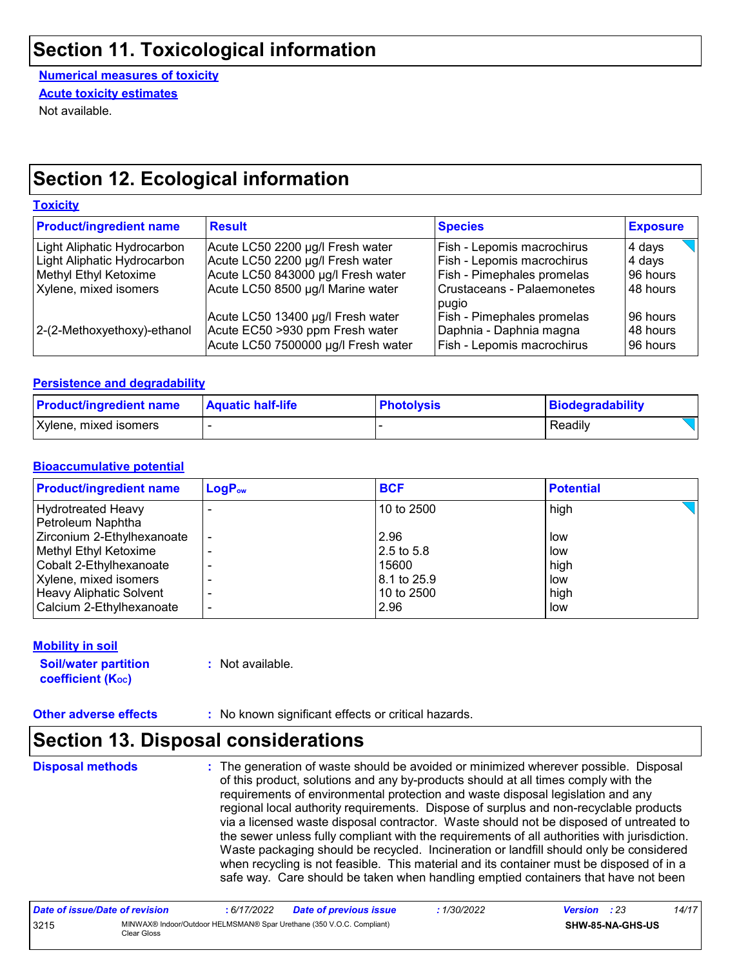### **Section 11. Toxicological information**

**Numerical measures of toxicity** Not available. **Acute toxicity estimates**

## **Section 12. Ecological information**

#### **Toxicity**

| <b>Product/ingredient name</b> | <b>Result</b>                       | <b>Species</b>                                        | <b>Exposure</b> |
|--------------------------------|-------------------------------------|-------------------------------------------------------|-----------------|
| Light Aliphatic Hydrocarbon    | Acute LC50 2200 µg/l Fresh water    | Fish - Lepomis macrochirus                            | 4 days          |
| Light Aliphatic Hydrocarbon    | Acute LC50 2200 µg/l Fresh water    | Fish - Lepomis macrochirus                            | 4 days          |
| Methyl Ethyl Ketoxime          | Acute LC50 843000 µg/l Fresh water  | Fish - Pimephales promelas                            | 96 hours        |
| Xylene, mixed isomers          | Acute LC50 8500 µg/l Marine water   | Crustaceans - Palaemonetes<br>pugio                   | 48 hours        |
|                                | Acute LC50 13400 µg/l Fresh water   | Fish - Pimephales promelas                            | 196 hours       |
| 2-(2-Methoxyethoxy)-ethanol    | Acute EC50 >930 ppm Fresh water     | Daphnia - Daphnia magna<br>Fish - Lepomis macrochirus | 48 hours        |
|                                | Acute LC50 7500000 µg/l Fresh water |                                                       | 96 hours        |

#### **Persistence and degradability**

| <b>Product/ingredient name</b> | <b>Aquatic half-life</b> | <b>Photolysis</b> | Biodegradability |
|--------------------------------|--------------------------|-------------------|------------------|
| Xylene, mixed isomers          |                          |                   | Readily          |

### **Bioaccumulative potential**

| $LogP_{ow}$ | <b>BCF</b>  | <b>Potential</b> |
|-------------|-------------|------------------|
|             | 10 to 2500  | high             |
|             |             |                  |
|             | 2.96        | low              |
|             | 2.5 to 5.8  | low              |
|             | 15600       | high             |
|             | 8.1 to 25.9 | low              |
|             | 10 to 2500  | high             |
|             | 2.96        | low              |
|             |             |                  |

#### **Mobility in soil**

**Soil/water partition coefficient (KOC)**

**:** Not available.

**Other adverse effects** : No known significant effects or critical hazards.

## **Section 13. Disposal considerations**

**Disposal methods :**

The generation of waste should be avoided or minimized wherever possible. Disposal of this product, solutions and any by-products should at all times comply with the requirements of environmental protection and waste disposal legislation and any regional local authority requirements. Dispose of surplus and non-recyclable products via a licensed waste disposal contractor. Waste should not be disposed of untreated to the sewer unless fully compliant with the requirements of all authorities with jurisdiction. Waste packaging should be recycled. Incineration or landfill should only be considered when recycling is not feasible. This material and its container must be disposed of in a safe way. Care should be taken when handling emptied containers that have not been

| Date of issue/Date of revision |                                                                                      | 6/17/2022 | <b>Date of previous issue</b> | : 1/30/2022 | <b>Version</b> : 23 |                  | 14/17 |
|--------------------------------|--------------------------------------------------------------------------------------|-----------|-------------------------------|-------------|---------------------|------------------|-------|
| 3215                           | MINWAX® Indoor/Outdoor HELMSMAN® Spar Urethane (350 V.O.C. Compliant)<br>Clear Gloss |           |                               |             |                     | SHW-85-NA-GHS-US |       |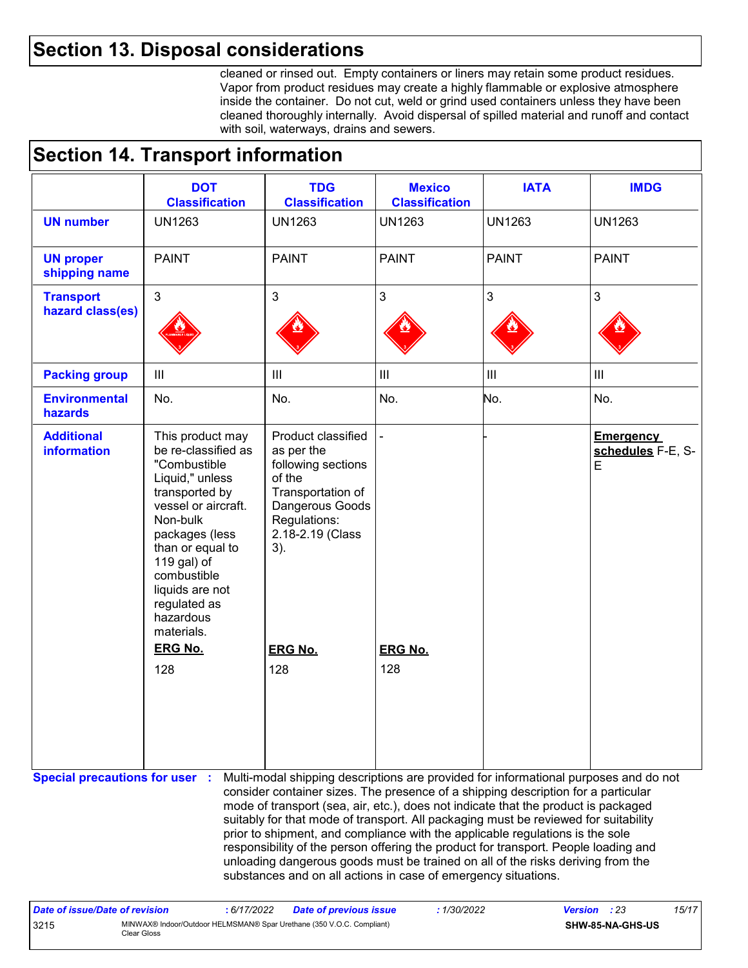### **Section 13. Disposal considerations**

cleaned or rinsed out. Empty containers or liners may retain some product residues. Vapor from product residues may create a highly flammable or explosive atmosphere inside the container. Do not cut, weld or grind used containers unless they have been cleaned thoroughly internally. Avoid dispersal of spilled material and runoff and contact with soil, waterways, drains and sewers.

# **Section 14. Transport information**

|                                         | <b>DOT</b><br><b>Classification</b>                                                                                                                                                                                                                               | <b>TDG</b><br><b>Classification</b>                                                                                                                                                                                                                                                                                                                                                                                                                                                                                                                                                                                                                                                 | <b>Mexico</b><br><b>Classification</b> | <b>IATA</b>   | <b>IMDG</b>                                |
|-----------------------------------------|-------------------------------------------------------------------------------------------------------------------------------------------------------------------------------------------------------------------------------------------------------------------|-------------------------------------------------------------------------------------------------------------------------------------------------------------------------------------------------------------------------------------------------------------------------------------------------------------------------------------------------------------------------------------------------------------------------------------------------------------------------------------------------------------------------------------------------------------------------------------------------------------------------------------------------------------------------------------|----------------------------------------|---------------|--------------------------------------------|
| <b>UN number</b>                        | <b>UN1263</b>                                                                                                                                                                                                                                                     | <b>UN1263</b>                                                                                                                                                                                                                                                                                                                                                                                                                                                                                                                                                                                                                                                                       | <b>UN1263</b>                          | <b>UN1263</b> | <b>UN1263</b>                              |
| <b>UN proper</b><br>shipping name       | <b>PAINT</b>                                                                                                                                                                                                                                                      | <b>PAINT</b>                                                                                                                                                                                                                                                                                                                                                                                                                                                                                                                                                                                                                                                                        | <b>PAINT</b>                           | <b>PAINT</b>  | <b>PAINT</b>                               |
| <b>Transport</b><br>hazard class(es)    | 3                                                                                                                                                                                                                                                                 | $\mathbf{3}$                                                                                                                                                                                                                                                                                                                                                                                                                                                                                                                                                                                                                                                                        | $\mathfrak{S}$                         | $\mathbf{3}$  | 3                                          |
| <b>Packing group</b>                    | $\mathbf{III}$                                                                                                                                                                                                                                                    | $\mathbf{III}$                                                                                                                                                                                                                                                                                                                                                                                                                                                                                                                                                                                                                                                                      | $\ensuremath{\mathsf{III}}\xspace$     | III           | III                                        |
| <b>Environmental</b><br>hazards         | No.                                                                                                                                                                                                                                                               | No.                                                                                                                                                                                                                                                                                                                                                                                                                                                                                                                                                                                                                                                                                 | No.                                    | No.           | No.                                        |
| <b>Additional</b><br><b>information</b> | This product may<br>be re-classified as<br>"Combustible<br>Liquid," unless<br>transported by<br>vessel or aircraft.<br>Non-bulk<br>packages (less<br>than or equal to<br>119 gal) of<br>combustible<br>liquids are not<br>regulated as<br>hazardous<br>materials. | Product classified<br>as per the<br>following sections<br>of the<br>Transportation of<br>Dangerous Goods<br>Regulations:<br>2.18-2.19 (Class<br>3).                                                                                                                                                                                                                                                                                                                                                                                                                                                                                                                                 |                                        |               | <b>Emergency</b><br>schedules F-E, S-<br>E |
|                                         | <b>ERG No.</b>                                                                                                                                                                                                                                                    | <b>ERG No.</b>                                                                                                                                                                                                                                                                                                                                                                                                                                                                                                                                                                                                                                                                      | <b>ERG No.</b>                         |               |                                            |
|                                         | 128                                                                                                                                                                                                                                                               | 128                                                                                                                                                                                                                                                                                                                                                                                                                                                                                                                                                                                                                                                                                 | 128                                    |               |                                            |
| <b>Special precautions for user :</b>   |                                                                                                                                                                                                                                                                   | Multi-modal shipping descriptions are provided for informational purposes and do not<br>consider container sizes. The presence of a shipping description for a particular<br>mode of transport (sea, air, etc.), does not indicate that the product is packaged<br>suitably for that mode of transport. All packaging must be reviewed for suitability<br>prior to shipment, and compliance with the applicable regulations is the sole<br>responsibility of the person offering the product for transport. People loading and<br>unloading dangerous goods must be trained on all of the risks deriving from the<br>substances and on all actions in case of emergency situations. |                                        |               |                                            |

| Date of issue/Date of revision |                                                                                      | : 6/17/2022 | Date of previous issue | 1/30/2022 | <b>Version</b> : 23 |                  | 15/17 |
|--------------------------------|--------------------------------------------------------------------------------------|-------------|------------------------|-----------|---------------------|------------------|-------|
| 3215                           | MINWAX® Indoor/Outdoor HELMSMAN® Spar Urethane (350 V.O.C. Compliant)<br>Clear Gloss |             |                        |           |                     | SHW-85-NA-GHS-US |       |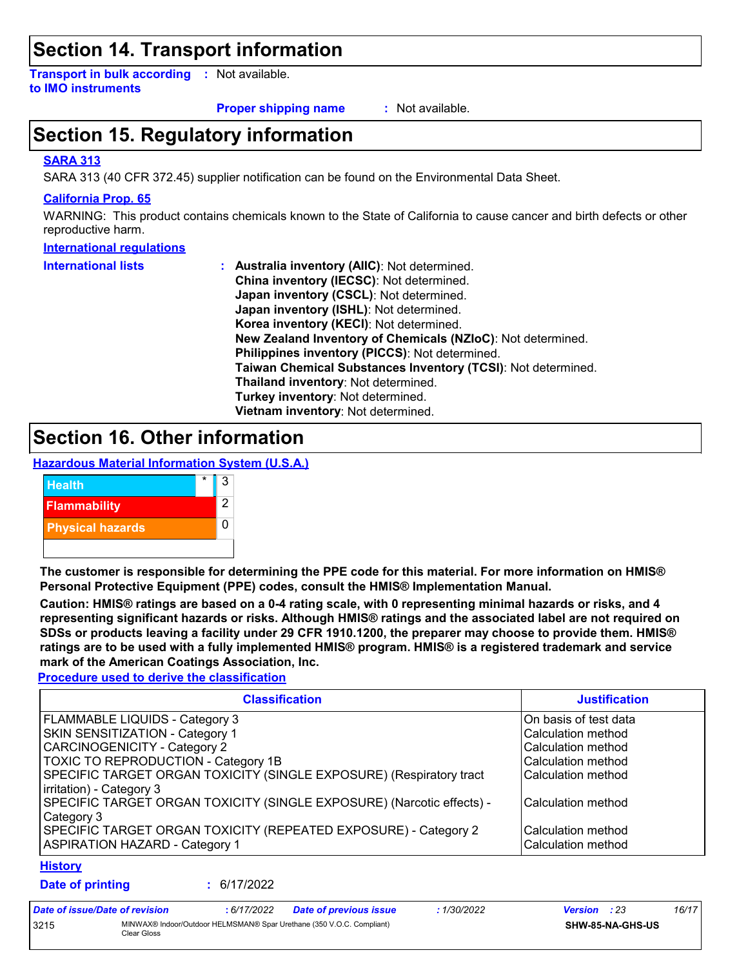### **Section 14. Transport information**

**Transport in bulk according :** Not available. **to IMO instruments**

**Proper shipping name :**

: Not available.

# **Section 15. Regulatory information**

### **SARA 313**

SARA 313 (40 CFR 372.45) supplier notification can be found on the Environmental Data Sheet.

#### **California Prop. 65**

WARNING: This product contains chemicals known to the State of California to cause cancer and birth defects or other reproductive harm.

#### **International regulations**

| <b>International lists</b> | <b>Australia inventory (AllC): Not determined.</b>           |
|----------------------------|--------------------------------------------------------------|
|                            | China inventory (IECSC): Not determined.                     |
|                            | Japan inventory (CSCL): Not determined.                      |
|                            | Japan inventory (ISHL): Not determined.                      |
|                            | Korea inventory (KECI): Not determined.                      |
|                            | New Zealand Inventory of Chemicals (NZIoC): Not determined.  |
|                            | Philippines inventory (PICCS): Not determined.               |
|                            | Taiwan Chemical Substances Inventory (TCSI): Not determined. |
|                            | Thailand inventory: Not determined.                          |
|                            | Turkey inventory: Not determined.                            |
|                            | Vietnam inventory: Not determined.                           |

### **Section 16. Other information**

**Hazardous Material Information System (U.S.A.)**



**The customer is responsible for determining the PPE code for this material. For more information on HMIS® Personal Protective Equipment (PPE) codes, consult the HMIS® Implementation Manual.**

**Caution: HMIS® ratings are based on a 0-4 rating scale, with 0 representing minimal hazards or risks, and 4 representing significant hazards or risks. Although HMIS® ratings and the associated label are not required on SDSs or products leaving a facility under 29 CFR 1910.1200, the preparer may choose to provide them. HMIS® ratings are to be used with a fully implemented HMIS® program. HMIS® is a registered trademark and service mark of the American Coatings Association, Inc.**

**Procedure used to derive the classification**

| <b>Classification</b>                                                                                    | <b>Justification</b>                     |
|----------------------------------------------------------------------------------------------------------|------------------------------------------|
| <b>FLAMMABLE LIQUIDS - Category 3</b>                                                                    | On basis of test data                    |
| <b>SKIN SENSITIZATION - Category 1</b>                                                                   | Calculation method                       |
| CARCINOGENICITY - Category 2                                                                             | Calculation method                       |
| <b>TOXIC TO REPRODUCTION - Category 1B</b>                                                               | Calculation method                       |
| SPECIFIC TARGET ORGAN TOXICITY (SINGLE EXPOSURE) (Respiratory tract<br>irritation) - Category 3          | Calculation method                       |
| SPECIFIC TARGET ORGAN TOXICITY (SINGLE EXPOSURE) (Narcotic effects) -<br>Category 3                      | Calculation method                       |
| SPECIFIC TARGET ORGAN TOXICITY (REPEATED EXPOSURE) - Category 2<br><b>ASPIRATION HAZARD - Category 1</b> | Calculation method<br>Calculation method |

### **History**

**Date of printing :**

6/17/2022

| Date of issue/Date of revision |                                                                                      | : 6/17/2022 | <b>Date of previous issue</b> | 1/30/2022 | <b>Version</b> : 23 |  | 16/17 |
|--------------------------------|--------------------------------------------------------------------------------------|-------------|-------------------------------|-----------|---------------------|--|-------|
| 3215                           | MINWAX® Indoor/Outdoor HELMSMAN® Spar Urethane (350 V.O.C. Compliant)<br>Clear Gloss |             |                               |           | SHW-85-NA-GHS-US    |  |       |